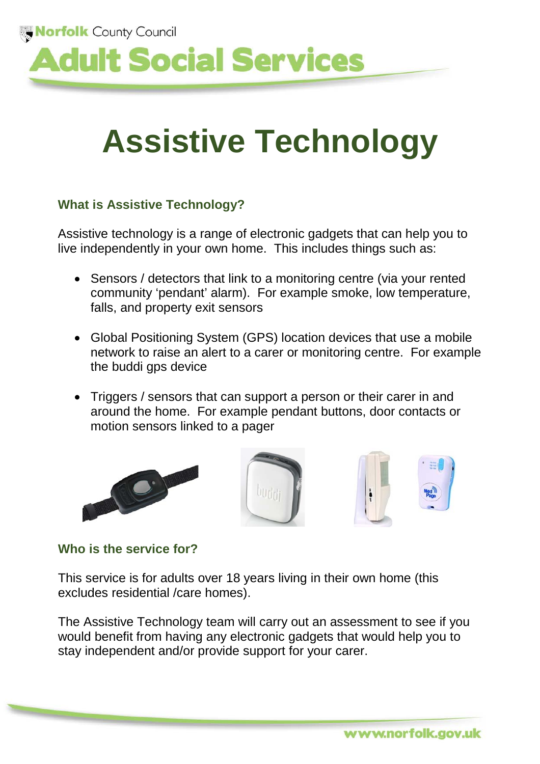

# **Assistive Technology**

### **What is Assistive Technology?**

Assistive technology is a range of electronic gadgets that can help you to live independently in your own home. This includes things such as:

- Sensors / detectors that link to a monitoring centre (via your rented community 'pendant' alarm). For example smoke, low temperature, falls, and property exit sensors
- Global Positioning System (GPS) location devices that use a mobile network to raise an alert to a carer or monitoring centre. For example the buddi gps device
- Triggers / sensors that can support a person or their carer in and around the home. For example pendant buttons, door contacts or motion sensors linked to a pager







## **Who is the service for?**

This service is for adults over 18 years living in their own home (this excludes residential /care homes).

The Assistive Technology team will carry out an assessment to see if you would benefit from having any electronic gadgets that would help you to stay independent and/or provide support for your carer.